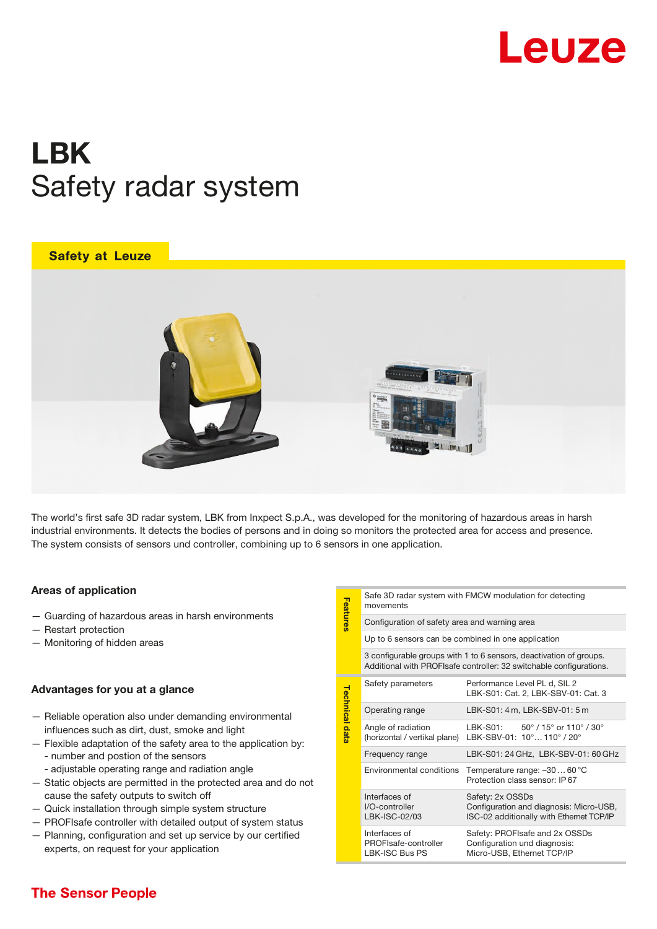

# LBK Safety radar system

## **Safety at Leuze**



The world's first safe 3D radar system, LBK from Inxpect S.p.A., was developed for the monitoring of hazardous areas in harsh industrial environments. It detects the bodies of persons and in doing so monitors the protected area for access and presence. The system consists of sensors und controller, combining up to 6 sensors in one application.

## Areas of application

- Guarding of hazardous areas in harsh environments
- Restart protection
- Monitoring of hidden areas

## Advantages for you at a glance

- Reliable operation also under demanding environmental influences such as dirt, dust, smoke and light
- number and postion of the sensors — Flexible adaptation of the safety area to the application by:
	- adjustable operating range and radiation angle
- Static objects are permitted in the protected area and do not cause the safety outputs to switch off
- Quick installation through simple system structure
- PROFIsafe controller with detailed output of system status
- $-$  Planning, configuration and set up service by our certified experts, on request for your application

| Safe 3D radar system with FMCW modulation for detecting |
|---------------------------------------------------------|
| movements                                               |

| Features       | movements                                                                                                                                 |                                                                                                         |  |
|----------------|-------------------------------------------------------------------------------------------------------------------------------------------|---------------------------------------------------------------------------------------------------------|--|
|                | Configuration of safety area and warning area                                                                                             |                                                                                                         |  |
|                | Up to 6 sensors can be combined in one application                                                                                        |                                                                                                         |  |
|                | 3 configurable groups with 1 to 6 sensors, deactivation of groups.<br>Additional with PROFIsafe controller: 32 switchable configurations. |                                                                                                         |  |
| Technical data | Safety parameters                                                                                                                         | Performance Level PL d, SIL 2<br>LBK-S01: Cat. 2, LBK-SBV-01: Cat. 3                                    |  |
|                | Operating range                                                                                                                           | LBK-S01: 4 m, LBK-SBV-01: 5 m                                                                           |  |
|                | Angle of radiation<br>(horizontal / vertikal plane)                                                                                       | LBK-S01: $50^{\circ}$ / 15° or 110° / 30°<br>LBK-SBV-01: 10° 110° / 20°                                 |  |
|                | Frequency range                                                                                                                           | LBK-S01: 24 GHz, LBK-SBV-01: 60 GHz                                                                     |  |
|                | Environmental conditions                                                                                                                  | Temperature range: -3060 °C<br>Protection class sensor: IP67                                            |  |
|                | Interfaces of<br>I/O-controller<br>LBK-ISC-02/03                                                                                          | Safety: 2x OSSDs<br>Configuration and diagnosis: Micro-USB,<br>ISC-02 additionally with Ethernet TCP/IP |  |
|                | Interfaces of<br>PROFIsafe-controller<br>LBK-ISC Bus PS                                                                                   | Safety: PROFIsafe and 2x OSSDs<br>Configuration und diagnosis:<br>Micro-USB, Ethernet TCP/IP            |  |

# **The Sensor People**